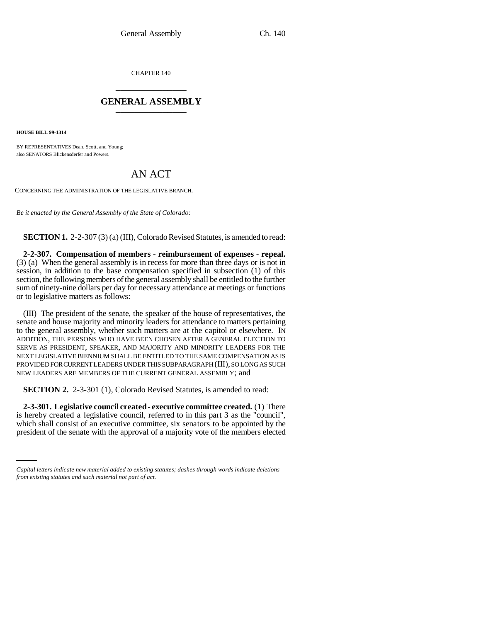CHAPTER 140 \_\_\_\_\_\_\_\_\_\_\_\_\_\_\_

## **GENERAL ASSEMBLY** \_\_\_\_\_\_\_\_\_\_\_\_\_\_\_

**HOUSE BILL 99-1314**

BY REPRESENTATIVES Dean, Scott, and Young; also SENATORS Blickensderfer and Powers.

## AN ACT

CONCERNING THE ADMINISTRATION OF THE LEGISLATIVE BRANCH.

*Be it enacted by the General Assembly of the State of Colorado:*

**SECTION 1.** 2-2-307 (3) (a) (III), Colorado Revised Statutes, is amended to read:

**2-2-307. Compensation of members - reimbursement of expenses - repeal.** (3) (a) When the general assembly is in recess for more than three days or is not in session, in addition to the base compensation specified in subsection (1) of this section, the following members of the general assembly shall be entitled to the further sum of ninety-nine dollars per day for necessary attendance at meetings or functions or to legislative matters as follows:

(III) The president of the senate, the speaker of the house of representatives, the senate and house majority and minority leaders for attendance to matters pertaining to the general assembly, whether such matters are at the capitol or elsewhere. IN ADDITION, THE PERSONS WHO HAVE BEEN CHOSEN AFTER A GENERAL ELECTION TO SERVE AS PRESIDENT, SPEAKER, AND MAJORITY AND MINORITY LEADERS FOR THE NEXT LEGISLATIVE BIENNIUM SHALL BE ENTITLED TO THE SAME COMPENSATION AS IS PROVIDED FOR CURRENT LEADERS UNDER THIS SUBPARAGRAPH (III), SO LONG AS SUCH NEW LEADERS ARE MEMBERS OF THE CURRENT GENERAL ASSEMBLY; and

**SECTION 2.** 2-3-301 (1), Colorado Revised Statutes, is amended to read:

which shall consist of an executive committee, six senators to be appointed by the **2-3-301. Legislative council created - executive committee created.** (1) There is hereby created a legislative council, referred to in this part 3 as the "council", president of the senate with the approval of a majority vote of the members elected

*Capital letters indicate new material added to existing statutes; dashes through words indicate deletions from existing statutes and such material not part of act.*